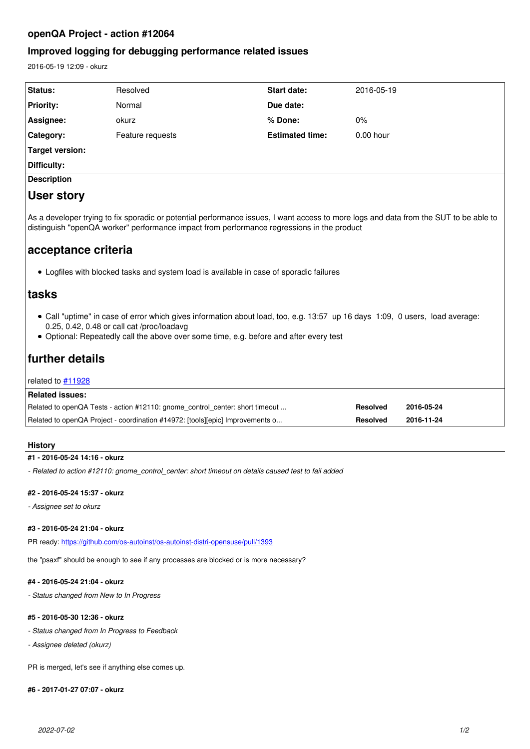# **openQA Project - action #12064**

# **Improved logging for debugging performance related issues**

2016-05-19 12:09 - okurz

| Status:                                                                                                                                                                                                                                                                                                                                               | Resolved         | <b>Start date:</b>     | 2016-05-19  |  |
|-------------------------------------------------------------------------------------------------------------------------------------------------------------------------------------------------------------------------------------------------------------------------------------------------------------------------------------------------------|------------------|------------------------|-------------|--|
| <b>Priority:</b>                                                                                                                                                                                                                                                                                                                                      | Normal           | Due date:              |             |  |
| Assignee:                                                                                                                                                                                                                                                                                                                                             | okurz            | % Done:                | 0%          |  |
| Category:                                                                                                                                                                                                                                                                                                                                             | Feature requests | <b>Estimated time:</b> | $0.00$ hour |  |
| <b>Target version:</b>                                                                                                                                                                                                                                                                                                                                |                  |                        |             |  |
| Difficulty:                                                                                                                                                                                                                                                                                                                                           |                  |                        |             |  |
| <b>Description</b>                                                                                                                                                                                                                                                                                                                                    |                  |                        |             |  |
| User story                                                                                                                                                                                                                                                                                                                                            |                  |                        |             |  |
| As a developer trying to fix sporadic or potential performance issues, I want access to more logs and data from the SUT to be able to<br>distinguish "openQA worker" performance impact from performance regressions in the product<br>acceptance criteria<br>• Logfiles with blocked tasks and system load is available in case of sporadic failures |                  |                        |             |  |
| tasks                                                                                                                                                                                                                                                                                                                                                 |                  |                        |             |  |
| • Call "uptime" in case of error which gives information about load, too, e.g. 13:57 up 16 days 1:09, 0 users, load average:<br>0.25, 0.42, 0.48 or call cat /proc/loadavg<br>• Optional: Repeatedly call the above over some time, e.g. before and after every test                                                                                  |                  |                        |             |  |
| further details                                                                                                                                                                                                                                                                                                                                       |                  |                        |             |  |
| related to $#11928$                                                                                                                                                                                                                                                                                                                                   |                  |                        |             |  |
| <b>Related issues:</b>                                                                                                                                                                                                                                                                                                                                |                  |                        |             |  |
| Related to openQA Tests - action #12110: gnome control center: short timeout                                                                                                                                                                                                                                                                          |                  | <b>Resolved</b>        | 2016-05-24  |  |
| Related to openQA Project - coordination #14972: [tools][epic] Improvements o                                                                                                                                                                                                                                                                         |                  | <b>Resolved</b>        | 2016-11-24  |  |

#### **History**

### **#1 - 2016-05-24 14:16 - okurz**

*- Related to action #12110: gnome\_control\_center: short timeout on details caused test to fail added*

#### **#2 - 2016-05-24 15:37 - okurz**

*- Assignee set to okurz*

### **#3 - 2016-05-24 21:04 - okurz**

PR ready: <https://github.com/os-autoinst/os-autoinst-distri-opensuse/pull/1393>

the "psaxf" should be enough to see if any processes are blocked or is more necessary?

#### **#4 - 2016-05-24 21:04 - okurz**

*- Status changed from New to In Progress*

## **#5 - 2016-05-30 12:36 - okurz**

- *Status changed from In Progress to Feedback*
- *Assignee deleted (okurz)*

PR is merged, let's see if anything else comes up.

#### **#6 - 2017-01-27 07:07 - okurz**